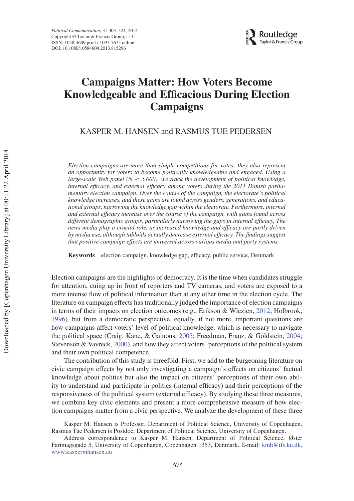

# **Campaigns Matter: How Voters Become Knowledgeable and Efficacious During Election Campaigns**

KASPER M. HANSEN and RASMUS TUE PEDERSEN

*Election campaigns are more than simple competitions for votes; they also represent an opportunity for voters to become politically knowledgeable and engaged. Using a large-scale Web panel (N*  $\approx$  5,000), we track the development of political knowledge, *internal efficacy, and external efficacy among voters during the 2011 Danish parliamentary election campaign. Over the course of the campaign, the electorate's political knowledge increases, and these gains are found across genders, generations, and educational groups, narrowing the knowledge gap within the electorate. Furthermore, internal and external efficacy increase over the course of the campaign, with gains found across different demographic groups, particularly narrowing the gaps in internal efficacy. The news media play a crucial role, as increased knowledge and efficacy are partly driven by media use, although tabloids actually decrease external efficacy. The findings suggest that positive campaign effects are universal across various media and party systems.*

**Keywords** election campaign, knowledge gap, efficacy, public service, Denmark

Election campaigns are the highlights of democracy. It is the time when candidates struggle for attention, cuing up in front of reporters and TV cameras, and voters are exposed to a more intense flow of political information than at any other time in the election cycle. The literature on campaign effects has traditionally judged the importance of election campaigns in terms of their impacts on election outcomes (e.g., Erikson & Wlezien, 2012; Holbrook, 1996), but from a democratic perspective, equally, if not more, important questions are how campaigns affect voters' level of political knowledge, which is necessary to navigate the political space (Craig, Kane, & Gainous, 2005; Freedman, Franz, & Goldstein, 2004; Stevenson & Vavreck, 2000), and how they affect voters' perceptions of the political system and their own political competence.

The contribution of this study is threefold. First, we add to the burgeoning literature on civic campaign effects by not only investigating a campaign's effects on citizens' factual knowledge about politics but also the impact on citizens' perceptions of their own ability to understand and participate in politics (internal efficacy) and their perceptions of the responsiveness of the political system (external efficacy). By studying these three measures, we combine key civic elements and present a more comprehensive measure of how election campaigns matter from a civic perspective. We analyze the development of these three

Kasper M. Hansen is Professor, Department of Political Science, University of Copenhagen. Rasmus Tue Pedersen is Postdoc, Department of Political Science, University of Copenhagen.

Address correspondence to Kasper M. Hansen, Department of Political Science, Øster Farimagsgade 5, University of Copenhagen, Copenhagen 1353, Denmark. E-mail: kmh@ifs.ku.dk, www.kaspermhansen.eu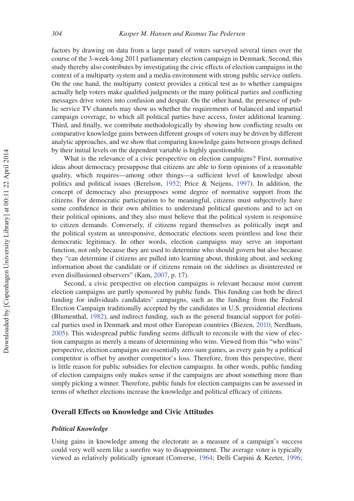factors by drawing on data from a large panel of voters surveyed several times over the course of the 3-week-long 2011 parliamentary election campaign in Denmark. Second, this study thereby also contributes by investigating the civic effects of election campaigns in the context of a multiparty system and a media environment with strong public service outlets. On the one hand, the multiparty context provides a critical test as to whether campaigns actually help voters make qualified judgments or the many political parties and conflicting messages drive voters into confusion and despair. On the other hand, the presence of public service TV channels may show us whether the requirements of balanced and impartial campaign coverage, to which all political parties have access, foster additional learning. Third, and finally, we contribute methodologically by showing how conflicting results on comparative knowledge gains between different groups of voters may be driven by different analytic approaches, and we show that comparing knowledge gains between groups defined by their initial levels on the dependent variable is highly questionable.

What is the relevance of a civic perspective on election campaigns? First, normative ideas about democracy presuppose that citizens are able to form opinions of a reasonable quality, which requires—among other things—a sufficient level of knowledge about politics and political issues (Berelson, 1952; Price & Neijens, 1997). In addition, the concept of democracy also presupposes some degree of normative support from the citizens. For democratic participation to be meaningful, citizens must subjectively have some confidence in their own abilities to understand political questions and to act on their political opinions, and they also must believe that the political system is responsive to citizen demands. Conversely, if citizens regard themselves as politically inept and the political system as unresponsive, democratic elections seem pointless and lose their democratic legitimacy. In other words, election campaigns may serve an important function, not only because they are used to determine who should govern but also because they "can determine if citizens are pulled into learning about, thinking about, and seeking information about the candidate or if citizens remain on the sidelines as disinterested or even disillusioned observers" (Kam, 2007, p. 17).

Second, a civic perspective on election campaigns is relevant because most current election campaigns are partly sponsored by public funds. This funding can both be direct funding for individuals candidates' campaigns, such as the funding from the Federal Election Campaign traditionally accepted by the candidates in U.S. presidential elections (Blumenthal, 1982), and indirect funding, such as the general financial support for political parties used in Denmark and most other European countries (Biezen, 2010; Needham, 2005). This widespread public funding seems difficult to reconcile with the view of election campaigns as merely a means of determining who wins. Viewed from this "who wins" perspective, election campaigns are essentially zero sum games, as every gain by a political competitor is offset by another competitor's loss. Therefore, from this perspective, there is little reason for public subsidies for election campaigns. In other words, public funding of election campaigns only makes sense if the campaigns are about something more than simply picking a winner. Therefore, public funds for election campaigns can be assessed in terms of whether elections increase the knowledge and political efficacy of citizens.

## **Overall Effects on Knowledge and Civic Attitudes**

#### *Political Knowledge*

Using gains in knowledge among the electorate as a measure of a campaign's success could very well seem like a surefire way to disappointment. The average voter is typically viewed as relatively politically ignorant (Converse, 1964; Delli Carpini & Keeter, 1996;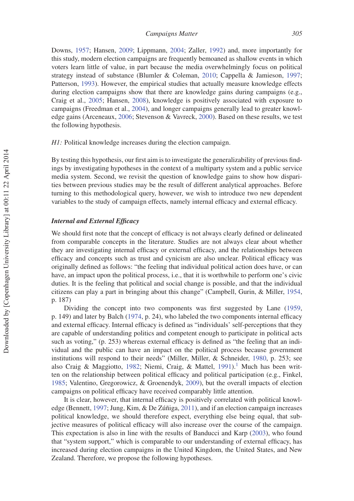Downs, 1957; Hansen, 2009; Lippmann, 2004; Zaller, 1992) and, more importantly for this study, modern election campaigns are frequently bemoaned as shallow events in which voters learn little of value, in part because the media overwhelmingly focus on political strategy instead of substance (Blumler & Coleman, 2010; Cappella & Jamieson, 1997; Patterson, 1993). However, the empirical studies that actually measure knowledge effects during election campaigns show that there are knowledge gains during campaigns (e.g., Craig et al., 2005; Hansen, 2008), knowledge is positively associated with exposure to campaigns (Freedman et al., 2004), and longer campaigns generally lead to greater knowledge gains (Arceneaux, 2006; Stevenson & Vavreck, 2000). Based on these results, we test the following hypothesis.

*H1*: Political knowledge increases during the election campaign.

By testing this hypothesis, our first aim is to investigate the generalizability of previous findings by investigating hypotheses in the context of a multiparty system and a public service media system. Second, we revisit the question of knowledge gains to show how disparities between previous studies may be the result of different analytical approaches. Before turning to this methodological query, however, we wish to introduce two new dependent variables to the study of campaign effects, namely internal efficacy and external efficacy.

# *Internal and External Efficacy*

We should first note that the concept of efficacy is not always clearly defined or delineated from comparable concepts in the literature. Studies are not always clear about whether they are investigating internal efficacy or external efficacy, and the relationships between efficacy and concepts such as trust and cynicism are also unclear. Political efficacy was originally defined as follows: "the feeling that individual political action does have, or can have, an impact upon the political process, i.e., that it is worthwhile to perform one's civic duties. It is the feeling that political and social change is possible, and that the individual citizens can play a part in bringing about this change" (Campbell, Gurin, & Miller, 1954, p. 187)

Dividing the concept into two components was first suggested by Lane (1959, p. 149) and later by Balch (1974, p. 24), who labeled the two components internal efficacy and external efficacy. Internal efficacy is defined as "individuals' self-perceptions that they are capable of understanding politics and competent enough to participate in political acts such as voting," (p. 253) whereas external efficacy is defined as "the feeling that an individual and the public can have an impact on the political process because government institutions will respond to their needs" (Miller, Miller, & Schneider, 1980, p. 253; see also Craig & Maggiotto, 1982; Niemi, Craig, & Mattel, 1991).<sup>1</sup> Much has been written on the relationship between political efficacy and political participation (e.g., Finkel, 1985; Valentino, Gregorowicz, & Groenendyk, 2009), but the overall impacts of election campaigns on political efficacy have received comparably little attention.

It is clear, however, that internal efficacy is positively correlated with political knowledge (Bennett, 1997; Jung, Kim, & De Zúñiga, 2011), and if an election campaign increases political knowledge, we should therefore expect, everything else being equal, that subjective measures of political efficacy will also increase over the course of the campaign. This expectation is also in line with the results of Banducci and Karp (2003), who found that "system support," which is comparable to our understanding of external efficacy, has increased during election campaigns in the United Kingdom, the United States, and New Zealand. Therefore, we propose the following hypotheses.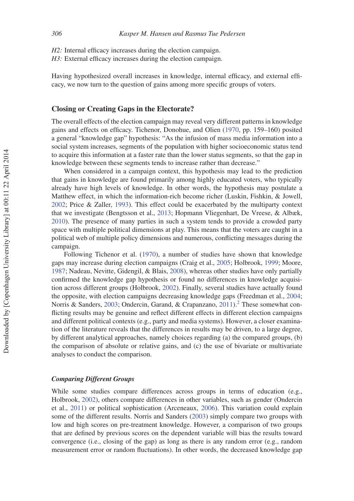*H2:* Internal efficacy increases during the election campaign.

*H3:* External efficacy increases during the election campaign.

Having hypothesized overall increases in knowledge, internal efficacy, and external efficacy, we now turn to the question of gains among more specific groups of voters.

# **Closing or Creating Gaps in the Electorate?**

The overall effects of the election campaign may reveal very different patterns in knowledge gains and effects on efficacy. Tichenor, Donohue, and Olien (1970, pp. 159–160) posited a general "knowledge gap" hypothesis: "As the infusion of mass media information into a social system increases, segments of the population with higher socioeconomic status tend to acquire this information at a faster rate than the lower status segments, so that the gap in knowledge between these segments tends to increase rather than decrease."

When considered in a campaign context, this hypothesis may lead to the prediction that gains in knowledge are found primarily among highly educated voters, who typically already have high levels of knowledge. In other words, the hypothesis may postulate a Matthew effect, in which the information-rich become richer (Luskin, Fishkin, & Jowell, 2002; Price & Zaller, 1993). This effect could be exacerbated by the multiparty context that we investigate (Bengtsson et al., 2013; Hopmann Vliegenhart, De Vreese, & Albæk, 2010). The presence of many parties in such a system tends to provide a crowded party space with multiple political dimensions at play. This means that the voters are caught in a political web of multiple policy dimensions and numerous, conflicting messages during the campaign.

Following Tichenor et al. (1970), a number of studies have shown that knowledge gaps may increase during election campaigns (Craig et al., 2005; Holbrook, 1999; Moore, 1987; Nadeau, Nevitte, Gidengil, & Blais, 2008), whereas other studies have only partially confirmed the knowledge gap hypothesis or found no differences in knowledge acquisition across different groups (Holbrook, 2002). Finally, several studies have actually found the opposite, with election campaigns decreasing knowledge gaps (Freedman et al., 2004; Norris & Sanders, 2003; Ondercin, Garand, & Crapanzano, 2011).<sup>2</sup> These somewhat conflicting results may be genuine and reflect different effects in different election campaigns and different political contexts (e.g., party and media systems). However, a closer examination of the literature reveals that the differences in results may be driven, to a large degree, by different analytical approaches, namely choices regarding (a) the compared groups, (b) the comparison of absolute or relative gains, and (c) the use of bivariate or multivariate analyses to conduct the comparison.

# *Comparing Different Groups*

While some studies compare differences across groups in terms of education (e.g., Holbrook, 2002), others compare differences in other variables, such as gender (Ondercin et al., 2011) or political sophistication (Arceneaux, 2006). This variation could explain some of the different results. Norris and Sanders (2003) simply compare two groups with low and high scores on pre-treatment knowledge. However, a comparison of two groups that are defined by previous scores on the dependent variable will bias the results toward convergence (i.e., closing of the gap) as long as there is any random error (e.g., random measurement error or random fluctuations). In other words, the decreased knowledge gap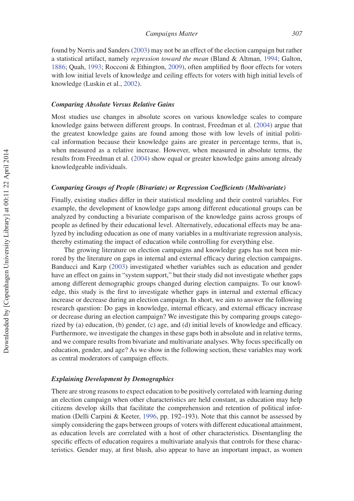found by Norris and Sanders (2003) may not be an effect of the election campaign but rather a statistical artifact, namely *regression toward the mean* (Bland & Altman, 1994; Galton, 1886; Quah, 1993; Rocconi & Ethington, 2009), often amplified by floor effects for voters with low initial levels of knowledge and ceiling effects for voters with high initial levels of knowledge (Luskin et al., 2002).

#### *Comparing Absolute Versus Relative Gains*

Most studies use changes in absolute scores on various knowledge scales to compare knowledge gains between different groups. In contrast, Freedman et al. (2004) argue that the greatest knowledge gains are found among those with low levels of initial political information because their knowledge gains are greater in percentage terms, that is, when measured as a relative increase. However, when measured in absolute terms, the results from Freedman et al. (2004) show equal or greater knowledge gains among already knowledgeable individuals.

#### *Comparing Groups of People (Bivariate) or Regression Coefficients (Multivariate)*

Finally, existing studies differ in their statistical modeling and their control variables. For example, the development of knowledge gaps among different educational groups can be analyzed by conducting a bivariate comparison of the knowledge gains across groups of people as defined by their educational level. Alternatively, educational effects may be analyzed by including education as one of many variables in a multivariate regression analysis, thereby estimating the impact of education while controlling for everything else.

The growing literature on election campaigns and knowledge gaps has not been mirrored by the literature on gaps in internal and external efficacy during election campaigns. Banducci and Karp (2003) investigated whether variables such as education and gender have an effect on gains in "system support," but their study did not investigate whether gaps among different demographic groups changed during election campaigns. To our knowledge, this study is the first to investigate whether gaps in internal and external efficacy increase or decrease during an election campaign. In short, we aim to answer the following research question: Do gaps in knowledge, internal efficacy, and external efficacy increase or decrease during an election campaign? We investigate this by comparing groups categorized by (a) education, (b) gender, (c) age, and (d) initial levels of knowledge and efficacy. Furthermore, we investigate the changes in these gaps both in absolute and in relative terms, and we compare results from bivariate and multivariate analyses. Why focus specifically on education, gender, and age? As we show in the following section, these variables may work as central moderators of campaign effects.

## *Explaining Development by Demographics*

There are strong reasons to expect education to be positively correlated with learning during an election campaign when other characteristics are held constant, as education may help citizens develop skills that facilitate the comprehension and retention of political information (Delli Carpini & Keeter, 1996, pp. 192–193). Note that this cannot be assessed by simply considering the gaps between groups of voters with different educational attainment, as education levels are correlated with a host of other characteristics. Disentangling the specific effects of education requires a multivariate analysis that controls for these characteristics. Gender may, at first blush, also appear to have an important impact, as women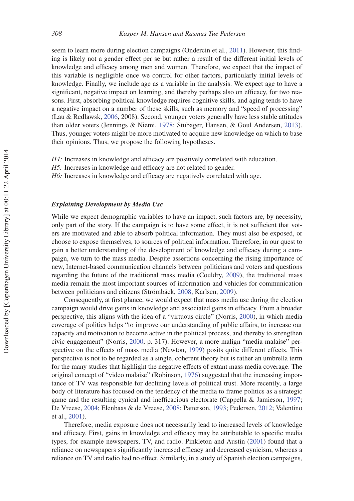seem to learn more during election campaigns (Ondercin et al., 2011). However, this finding is likely not a gender effect per se but rather a result of the different initial levels of knowledge and efficacy among men and women. Therefore, we expect that the impact of this variable is negligible once we control for other factors, particularly initial levels of knowledge. Finally, we include age as a variable in the analysis. We expect age to have a significant, negative impact on learning, and thereby perhaps also on efficacy, for two reasons. First, absorbing political knowledge requires cognitive skills, and aging tends to have a negative impact on a number of these skills, such as memory and "speed of processing" (Lau & Redlawsk, 2006, 2008). Second, younger voters generally have less stable attitudes than older voters (Jennings & Niemi, 1978; Stubager, Hansen, & Goul Andersen, 2013). Thus, younger voters might be more motivated to acquire new knowledge on which to base their opinions. Thus, we propose the following hypotheses.

*H4:* Increases in knowledge and efficacy are positively correlated with education.

*H5:* Increases in knowledge and efficacy are not related to gender.

*H6:* Increases in knowledge and efficacy are negatively correlated with age.

# *Explaining Development by Media Use*

While we expect demographic variables to have an impact, such factors are, by necessity, only part of the story. If the campaign is to have some effect, it is not sufficient that voters are motivated and able to absorb political information. They must also be exposed, or choose to expose themselves, to sources of political information. Therefore, in our quest to gain a better understanding of the development of knowledge and efficacy during a campaign, we turn to the mass media. Despite assertions concerning the rising importance of new, Internet-based communication channels between politicians and voters and questions regarding the future of the traditional mass media (Couldry, 2009), the traditional mass media remain the most important sources of information and vehicles for communication between politicians and citizens (Strömbäck, 2008, Karlsen, 2009).

Consequently, at first glance, we would expect that mass media use during the election campaign would drive gains in knowledge and associated gains in efficacy. From a broader perspective, this aligns with the idea of a "virtuous circle" (Norris, 2000), in which media coverage of politics helps "to improve our understanding of public affairs, to increase our capacity and motivation to become active in the political process, and thereby to strengthen civic engagement" (Norris, 2000, p. 317). However, a more malign "media-malaise" perspective on the effects of mass media (Newton, 1999) posits quite different effects. This perspective is not to be regarded as a single, coherent theory but is rather an umbrella term for the many studies that highlight the negative effects of extant mass media coverage. The original concept of "video malaise" (Robinson, 1976) suggested that the increasing importance of TV was responsible for declining levels of political trust. More recently, a large body of literature has focused on the tendency of the media to frame politics as a strategic game and the resulting cynical and inefficacious electorate (Cappella & Jamieson, 1997; De Vreese, 2004; Elenbaas & de Vreese, 2008; Patterson, 1993; Pedersen, 2012; Valentino et al., 2001).

Therefore, media exposure does not necessarily lead to increased levels of knowledge and efficacy. First, gains in knowledge and efficacy may be attributable to specific media types, for example newspapers, TV, and radio. Pinkleton and Austin (2001) found that a reliance on newspapers significantly increased efficacy and decreased cynicism, whereas a reliance on TV and radio had no effect. Similarly, in a study of Spanish election campaigns,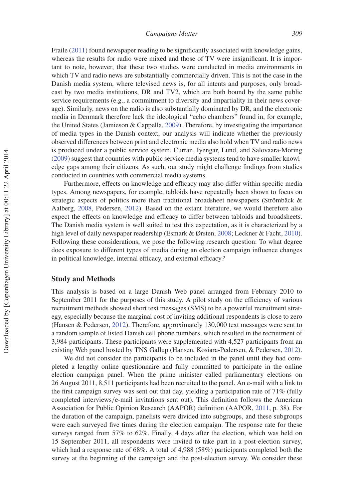Fraile (2011) found newspaper reading to be significantly associated with knowledge gains, whereas the results for radio were mixed and those of TV were insignificant. It is important to note, however, that these two studies were conducted in media environments in which TV and radio news are substantially commercially driven. This is not the case in the Danish media system, where televised news is, for all intents and purposes, only broadcast by two media institutions, DR and TV2, which are both bound by the same public service requirements (e.g., a commitment to diversity and impartiality in their news coverage). Similarly, news on the radio is also substantially dominated by DR, and the electronic media in Denmark therefore lack the ideological "echo chambers" found in, for example, the United States (Jamieson & Cappella, 2009). Therefore, by investigating the importance of media types in the Danish context, our analysis will indicate whether the previously observed differences between print and electronic media also hold when TV and radio news is produced under a public service system. Curran, Iyengar, Lund, and Salovaara-Moring (2009) suggest that countries with public service media systems tend to have smaller knowledge gaps among their citizens. As such, our study might challenge findings from studies conducted in countries with commercial media systems.

Furthermore, effects on knowledge and efficacy may also differ within specific media types. Among newspapers, for example, tabloids have repeatedly been shown to focus on strategic aspects of politics more than traditional broadsheet newspapers (Strömbäck & Aalberg, 2008, Pedersen, 2012). Based on the extant literature, we would therefore also expect the effects on knowledge and efficacy to differ between tabloids and broadsheets. The Danish media system is well suited to test this expectation, as it is characterized by a high level of daily newspaper readership (Esmark & Ørsten, 2008; Leckner & Facht, 2010). Following these considerations, we pose the following research question: To what degree does exposure to different types of media during an election campaign influence changes in political knowledge, internal efficacy, and external efficacy*?*

#### **Study and Methods**

This analysis is based on a large Danish Web panel arranged from February 2010 to September 2011 for the purposes of this study. A pilot study on the efficiency of various recruitment methods showed short text messages (SMS) to be a powerful recruitment strategy, especially because the marginal cost of inviting additional respondents is close to zero (Hansen & Pedersen, 2012). Therefore, approximately 130,000 text messages were sent to a random sample of listed Danish cell phone numbers, which resulted in the recruitment of 3,984 participants. These participants were supplemented with 4,527 participants from an existing Web panel hosted by TNS Gallup (Hansen, Kosiara-Pedersen, & Pedersen, 2012).

We did not consider the participants to be included in the panel until they had completed a lengthy online questionnaire and fully committed to participate in the online election campaign panel. When the prime minister called parliamentary elections on 26 August 2011, 8,511 participants had been recruited to the panel. An e-mail with a link to the first campaign survey was sent out that day, yielding a participation rate of 71% (fully completed interviews/e-mail invitations sent out). This definition follows the American Association for Public Opinion Research (AAPOR) definition (AAPOR, 2011, p. 38). For the duration of the campaign, panelists were divided into subgroups, and these subgroups were each surveyed five times during the election campaign. The response rate for these surveys ranged from 57% to 62%. Finally, 4 days after the election, which was held on 15 September 2011, all respondents were invited to take part in a post-election survey, which had a response rate of 68%. A total of 4,988 (58%) participants completed both the survey at the beginning of the campaign and the post-election survey. We consider these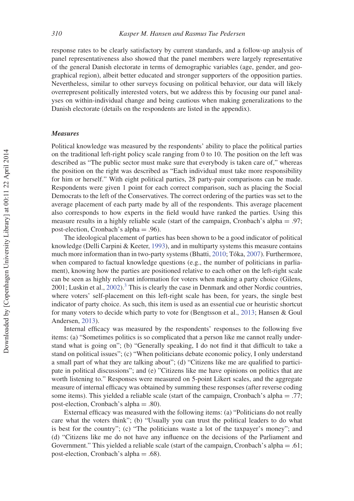response rates to be clearly satisfactory by current standards, and a follow-up analysis of panel representativeness also showed that the panel members were largely representative of the general Danish electorate in terms of demographic variables (age, gender, and geographical region), albeit better educated and stronger supporters of the opposition parties. Nevertheless, similar to other surveys focusing on political behavior, our data will likely overrepresent politically interested voters, but we address this by focusing our panel analyses on within-individual change and being cautious when making generalizations to the Danish electorate (details on the respondents are listed in the appendix).

#### *Measures*

Political knowledge was measured by the respondents' ability to place the political parties on the traditional left-right policy scale ranging from 0 to 10. The position on the left was described as "The public sector must make sure that everybody is taken care of," whereas the position on the right was described as "Each individual must take more responsibility for him or herself." With eight political parties, 28 party-pair comparisons can be made. Respondents were given 1 point for each correct comparison, such as placing the Social Democrats to the left of the Conservatives. The correct ordering of the parties was set to the average placement of each party made by all of the respondents. This average placement also corresponds to how experts in the field would have ranked the parties. Using this measure results in a highly reliable scale (start of the campaign, Cronbach's alpha  $= .97$ ; post-election, Cronbach's alpha = .96).

The ideological placement of parties has been shown to be a good indicator of political knowledge (Delli Carpini & Keeter, 1993), and in multiparty systems this measure contains much more information than in two-party systems (Bhatti, 2010; Tóka, 2007). Furthermore, when compared to factual knowledge questions (e.g., the number of politicians in parliament), knowing how the parties are positioned relative to each other on the left-right scale can be seen as highly relevant information for voters when making a party choice (Gilens,  $2001$ ; Luskin et al.,  $2002$ ).<sup>3</sup> This is clearly the case in Denmark and other Nordic countries, where voters' self-placement on this left-right scale has been, for years, the single best indicator of party choice. As such, this item is used as an essential cue or heuristic shortcut for many voters to decide which party to vote for (Bengtsson et al., 2013; Hansen & Goul Andersen, 2013).

Internal efficacy was measured by the respondents' responses to the following five items: (a) "Sometimes politics is so complicated that a person like me cannot really understand what is going on"; (b) "Generally speaking, I do not find it that difficult to take a stand on political issues"; (c) "When politicians debate economic policy, I only understand a small part of what they are talking about"; (d) "Citizens like me are qualified to participate in political discussions"; and (e) "Citizens like me have opinions on politics that are worth listening to." Responses were measured on 5-point Likert scales, and the aggregate measure of internal efficacy was obtained by summing these responses (after reverse coding some items). This yielded a reliable scale (start of the campaign, Cronbach's alpha = .77; post-election, Cronbach's alpha = .80).

External efficacy was measured with the following items: (a) "Politicians do not really care what the voters think"; (b) "Usually you can trust the political leaders to do what is best for the country"; (c) "The politicians waste a lot of the taxpayer's money"; and (d) "Citizens like me do not have any influence on the decisions of the Parliament and Government." This yielded a reliable scale (start of the campaign, Cronbach's alpha  $= .61$ ; post-election, Cronbach's alpha = .68).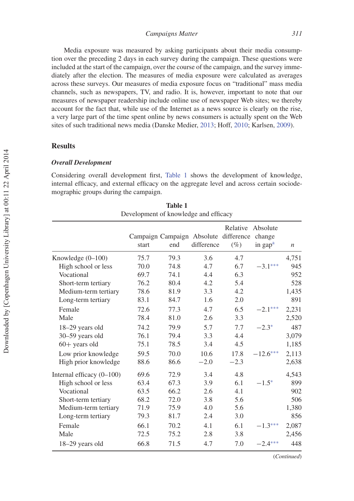*Campaigns Matter 311*

Media exposure was measured by asking participants about their media consumption over the preceding 2 days in each survey during the campaign. These questions were included at the start of the campaign, over the course of the campaign, and the survey immediately after the election. The measures of media exposure were calculated as averages across these surveys. Our measures of media exposure focus on "traditional" mass media channels, such as newspapers, TV, and radio. It is, however, important to note that our measures of newspaper readership include online use of newspaper Web sites; we thereby account for the fact that, while use of the Internet as a news source is clearly on the rise, a very large part of the time spent online by news consumers is actually spent on the Web sites of such traditional news media (Danske Medier, 2013; Hoff, 2010; Karlsen, 2009).

# **Results**

# *Overall Development*

Considering overall development first, Table 1 shows the development of knowledge, internal efficacy, and external efficacy on the aggregate level and across certain sociodemographic groups during the campaign.

**Table 1** Development of knowledge and efficacy

|                             |       |                                                     |            |        | Relative Absolute   |                  |
|-----------------------------|-------|-----------------------------------------------------|------------|--------|---------------------|------------------|
|                             | start | Campaign Campaign Absolute difference change<br>end | difference | $(\%)$ | in gap <sup>a</sup> | $\boldsymbol{n}$ |
| Knowledge (0-100)           | 75.7  | 79.3                                                | 3.6        | 4.7    |                     | 4,751            |
| High school or less         | 70.0  | 74.8                                                | 4.7        | 6.7    | $-3.1***$           | 945              |
| Vocational                  | 69.7  | 74.1                                                | 4.4        | 6.3    |                     | 952              |
| Short-term tertiary         | 76.2  | 80.4                                                | 4.2        | 5.4    |                     | 528              |
| Medium-term tertiary        | 78.6  | 81.9                                                | 3.3        | 4.2    |                     | 1,435            |
| Long-term tertiary          | 83.1  | 84.7                                                | 1.6        | 2.0    |                     | 891              |
| Female                      | 72.6  | 77.3                                                | 4.7        | 6.5    | $-2.1***$           | 2,231            |
| Male                        | 78.4  | 81.0                                                | 2.6        | 3.3    |                     | 2,520            |
| 18-29 years old             | 74.2  | 79.9                                                | 5.7        | 7.7    | $-2.3*$             | 487              |
| 30-59 years old             | 76.1  | 79.4                                                | 3.3        | 4.4    |                     | 3,079            |
| $60+$ years old             | 75.1  | 78.5                                                | 3.4        | 4.5    |                     | 1,185            |
| Low prior knowledge         | 59.5  | 70.0                                                | 10.6       | 17.8   | $-12.6***$          | 2,113            |
| High prior knowledge        | 88.6  | 86.6                                                | $-2.0$     | $-2.3$ |                     | 2,638            |
| Internal efficacy $(0-100)$ | 69.6  | 72.9                                                | 3.4        | 4.8    |                     | 4,543            |
| High school or less         | 63.4  | 67.3                                                | 3.9        | 6.1    | $-1.5*$             | 899              |
| Vocational                  | 63.5  | 66.2                                                | 2.6        | 4.1    |                     | 902              |
| Short-term tertiary         | 68.2  | 72.0                                                | 3.8        | 5.6    |                     | 506              |
| Medium-term tertiary        | 71.9  | 75.9                                                | 4.0        | 5.6    |                     | 1,380            |
| Long-term tertiary          | 79.3  | 81.7                                                | 2.4        | 3.0    |                     | 856              |
| Female                      | 66.1  | 70.2                                                | 4.1        | 6.1    | $-1.3***$           | 2,087            |
| Male                        | 72.5  | 75.2                                                | 2.8        | 3.8    |                     | 2,456            |
| 18-29 years old             | 66.8  | 71.5                                                | 4.7        | 7.0    | $-2.4***$           | 448              |

(*Continued*)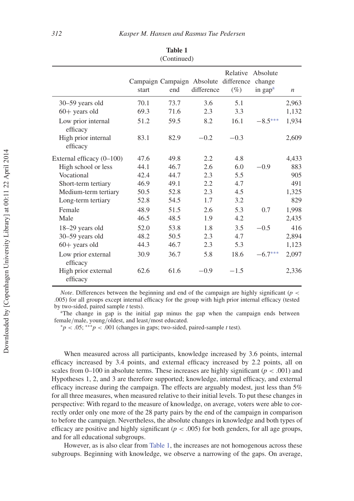|                                 | start | end  | Campaign Campaign Absolute difference change<br>difference | $(\%)$ | Relative Absolute<br>in gap <sup>a</sup> | $\boldsymbol{n}$ |
|---------------------------------|-------|------|------------------------------------------------------------|--------|------------------------------------------|------------------|
| 30–59 years old                 | 70.1  | 73.7 | 3.6                                                        | 5.1    |                                          | 2,963            |
| $60+$ years old                 | 69.3  | 71.6 | 2.3                                                        | 3.3    |                                          | 1,132            |
| Low prior internal<br>efficacy  | 51.2  | 59.5 | 8.2                                                        | 16.1   | $-8.5***$                                | 1,934            |
| High prior internal<br>efficacy | 83.1  | 82.9 | $-0.2$                                                     | $-0.3$ |                                          | 2,609            |
| External efficacy $(0-100)$     | 47.6  | 49.8 | 2.2                                                        | 4.8    |                                          | 4,433            |
| High school or less             | 44.1  | 46.7 | 2.6                                                        | 6.0    | $-0.9$                                   | 883              |
| Vocational                      | 42.4  | 44.7 | 2.3                                                        | 5.5    |                                          | 905              |
| Short-term tertiary             | 46.9  | 49.1 | 2.2                                                        | 4.7    |                                          | 491              |
| Medium-term tertiary            | 50.5  | 52.8 | 2.3                                                        | 4.5    |                                          | 1,325            |
| Long-term tertiary              | 52.8  | 54.5 | 1.7                                                        | 3.2    |                                          | 829              |
| Female                          | 48.9  | 51.5 | 2.6                                                        | 5.3    | 0.7                                      | 1,998            |
| Male                            | 46.5  | 48.5 | 1.9                                                        | 4.2    |                                          | 2,435            |
| 18-29 years old                 | 52.0  | 53.8 | 1.8                                                        | 3.5    | $-0.5$                                   | 416              |
| 30-59 years old                 | 48.2  | 50.5 | 2.3                                                        | 4.7    |                                          | 2,894            |
| $60+$ years old                 | 44.3  | 46.7 | 2.3                                                        | 5.3    |                                          | 1,123            |
| Low prior external<br>efficacy  | 30.9  | 36.7 | 5.8                                                        | 18.6   | $-6.7***$                                | 2,097            |
| High prior external<br>efficacy | 62.6  | 61.6 | $-0.9$                                                     | $-1.5$ |                                          | 2,336            |

**Table 1** (Continued)

*Note*. Differences between the beginning and end of the campaign are highly significant (*p* < .005) for all groups except internal efficacy for the group with high prior internal efficacy (tested by two-sided, paired sample *t* tests).

<sup>a</sup>The change in gap is the initial gap minus the gap when the campaign ends between female/male, young/oldest, and least/most educated.

<sup>∗</sup>*p* < .05; ∗∗∗*p* < .001 (changes in gaps; two-sided, paired-sample *t* test).

When measured across all participants, knowledge increased by 3.6 points, internal efficacy increased by 3.4 points, and external efficacy increased by 2.2 points, all on scales from  $0-100$  in absolute terms. These increases are highly significant ( $p < .001$ ) and Hypotheses 1, 2, and 3 are therefore supported; knowledge, internal efficacy, and external efficacy increase during the campaign. The effects are arguably modest, just less than 5% for all three measures, when measured relative to their initial levels. To put these changes in perspective: With regard to the measure of knowledge, on average, voters were able to correctly order only one more of the 28 party pairs by the end of the campaign in comparison to before the campaign. Nevertheless, the absolute changes in knowledge and both types of efficacy are positive and highly significant ( $p < .005$ ) for both genders, for all age groups, and for all educational subgroups.

However, as is also clear from Table 1, the increases are not homogenous across these subgroups. Beginning with knowledge, we observe a narrowing of the gaps. On average,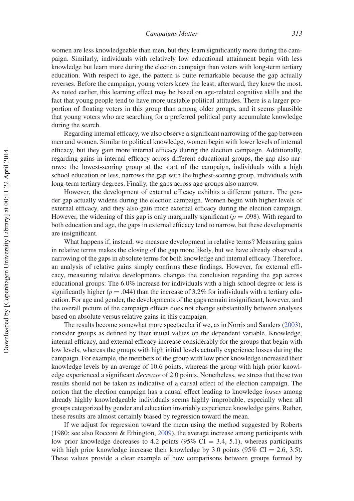women are less knowledgeable than men, but they learn significantly more during the campaign. Similarly, individuals with relatively low educational attainment begin with less knowledge but learn more during the election campaign than voters with long-term tertiary education. With respect to age, the pattern is quite remarkable because the gap actually reverses. Before the campaign, young voters knew the least; afterward, they knew the most. As noted earlier, this learning effect may be based on age-related cognitive skills and the fact that young people tend to have more unstable political attitudes. There is a larger proportion of floating voters in this group than among older groups, and it seems plausible that young voters who are searching for a preferred political party accumulate knowledge during the search.

Regarding internal efficacy, we also observe a significant narrowing of the gap between men and women. Similar to political knowledge, women begin with lower levels of internal efficacy, but they gain more internal efficacy during the election campaign. Additionally, regarding gains in internal efficacy across different educational groups, the gap also narrows; the lowest-scoring group at the start of the campaign, individuals with a high school education or less, narrows the gap with the highest-scoring group, individuals with long-term tertiary degrees. Finally, the gaps across age groups also narrow.

However, the development of external efficacy exhibits a different pattern. The gender gap actually widens during the election campaign. Women begin with higher levels of external efficacy, and they also gain more external efficacy during the election campaign. However, the widening of this gap is only marginally significant ( $p = .098$ ). With regard to both education and age, the gaps in external efficacy tend to narrow, but these developments are insignificant.

What happens if, instead, we measure development in relative terms? Measuring gains in relative terms makes the closing of the gap more likely, but we have already observed a narrowing of the gaps in absolute terms for both knowledge and internal efficacy. Therefore, an analysis of relative gains simply confirms these findings. However, for external efficacy, measuring relative developments changes the conclusion regarding the gap across educational groups: The 6.0% increase for individuals with a high school degree or less is significantly higher ( $p = .044$ ) than the increase of 3.2% for individuals with a tertiary education. For age and gender, the developments of the gaps remain insignificant, however, and the overall picture of the campaign effects does not change substantially between analyses based on absolute versus relative gains in this campaign.

The results become somewhat more spectacular if we, as in Norris and Sanders (2003), consider groups as defined by their initial values on the dependent variable. Knowledge, internal efficacy, and external efficacy increase considerably for the groups that begin with low levels, whereas the groups with high initial levels actually experience losses during the campaign. For example, the members of the group with low prior knowledge increased their knowledge levels by an average of 10.6 points, whereas the group with high prior knowledge experienced a significant *decrease* of 2.0 points. Nonetheless, we stress that these two results should not be taken as indicative of a causal effect of the election campaign. The notion that the election campaign has a causal effect leading to knowledge *losses* among already highly knowledgeable individuals seems highly improbable, especially when all groups categorized by gender and education invariably experience knowledge gains. Rather, these results are almost certainly biased by regression toward the mean.

If we adjust for regression toward the mean using the method suggested by Roberts (1980; see also Rocconi & Ethington, 2009), the average increase among participants with low prior knowledge decreases to 4.2 points (95% CI = 3.4, 5.1), whereas participants with high prior knowledge increase their knowledge by 3.0 points (95%  $CI = 2.6, 3.5$ ). These values provide a clear example of how comparisons between groups formed by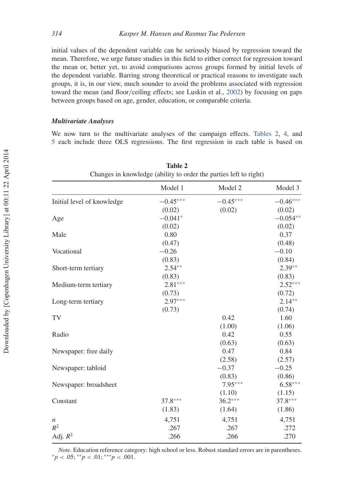initial values of the dependent variable can be seriously biased by regression toward the mean. Therefore, we urge future studies in this field to either correct for regression toward the mean or, better yet, to avoid comparisons across groups formed by initial levels of the dependent variable. Barring strong theoretical or practical reasons to investigate such groups, it is, in our view, much sounder to avoid the problems associated with regression toward the mean (and floor/ceiling effects; see Luskin et al., 2002) by focusing on gaps between groups based on age, gender, education, or comparable criteria.

#### *Multivariate Analyses*

We now turn to the multivariate analyses of the campaign effects. Tables 2, 4, and 5 each include three OLS regressions. The first regression in each table is based on

| Changes in knowledge (ability to order the parties left to right) |            |            |            |  |
|-------------------------------------------------------------------|------------|------------|------------|--|
|                                                                   | Model 1    | Model 2    | Model 3    |  |
| Initial level of knowledge                                        | $-0.45***$ | $-0.45***$ | $-0.46***$ |  |
|                                                                   | (0.02)     | (0.02)     | (0.02)     |  |
| Age                                                               | $-0.041*$  |            | $-0.054**$ |  |
|                                                                   | (0.02)     |            | (0.02)     |  |
| Male                                                              | 0.80       |            | 0.37       |  |
|                                                                   | (0.47)     |            | (0.48)     |  |
| Vocational                                                        | $-0.26$    |            | $-0.10$    |  |
|                                                                   | (0.83)     |            | (0.84)     |  |
| Short-term tertiary                                               | $2.54**$   |            | $2.39**$   |  |
|                                                                   | (0.83)     |            | (0.83)     |  |
| Medium-term tertiary                                              | $2.81***$  |            | $2.52***$  |  |
|                                                                   | (0.73)     |            | (0.72)     |  |
| Long-term tertiary                                                | $2.97***$  |            | $2.14**$   |  |
|                                                                   | (0.73)     |            | (0.74)     |  |
| TV                                                                |            | 0.42       | 1.60       |  |
|                                                                   |            | (1.00)     | (1.06)     |  |
| Radio                                                             |            | 0.42       | 0.55       |  |
|                                                                   |            | (0.63)     | (0.63)     |  |
| Newspaper: free daily                                             |            | 0.47       | 0.84       |  |
|                                                                   |            | (2.58)     | (2.57)     |  |
| Newspaper: tabloid                                                |            | $-0.37$    | $-0.25$    |  |
|                                                                   |            | (0.83)     | (0.86)     |  |
| Newspaper: broadsheet                                             |            | $7.95***$  | $6.58***$  |  |
|                                                                   |            | (1.10)     | (1.15)     |  |
| Constant                                                          | $37.8***$  | $36.2***$  | $37.8***$  |  |
|                                                                   | (1.83)     | (1.64)     | (1.86)     |  |
| $\boldsymbol{n}$                                                  | 4,751      | 4,751      | 4,751      |  |
| $R^2$                                                             | .267       | .267       | .272       |  |
| Adj. $R^2$                                                        | .266       | .266       | .270       |  |

**Table 2**

*Note*. Education reference category: high school or less. Robust standard errors are in parentheses. <sup>∗</sup>*p* < .05; ∗∗*p* < .01; ∗∗∗*p* < .001.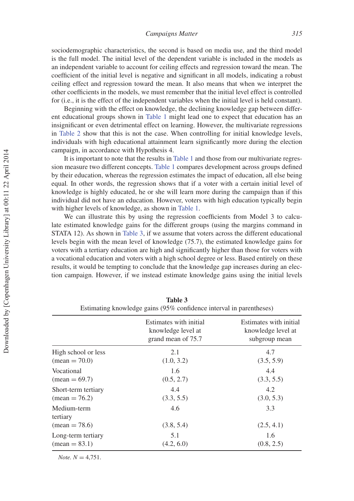*Campaigns Matter 315*

sociodemographic characteristics, the second is based on media use, and the third model is the full model. The initial level of the dependent variable is included in the models as an independent variable to account for ceiling effects and regression toward the mean. The coefficient of the initial level is negative and significant in all models, indicating a robust ceiling effect and regression toward the mean. It also means that when we interpret the other coefficients in the models, we must remember that the initial level effect is controlled for (i.e., it is the effect of the independent variables when the initial level is held constant).

Beginning with the effect on knowledge, the declining knowledge gap between different educational groups shown in Table 1 might lead one to expect that education has an insignificant or even detrimental effect on learning. However, the multivariate regressions in Table 2 show that this is not the case. When controlling for initial knowledge levels, individuals with high educational attainment learn significantly more during the election campaign, in accordance with Hypothesis 4.

It is important to note that the results in Table 1 and those from our multivariate regression measure two different concepts. Table 1 compares development across groups defined by their education, whereas the regression estimates the impact of education, all else being equal*.* In other words, the regression shows that if a voter with a certain initial level of knowledge is highly educated, he or she will learn more during the campaign than if this individual did not have an education. However, voters with high education typically begin with higher levels of knowledge, as shown in Table 1.

We can illustrate this by using the regression coefficients from Model 3 to calculate estimated knowledge gains for the different groups (using the margins command in STATA 12). As shown in Table 3, if we assume that voters across the different educational levels begin with the mean level of knowledge (75.7), the estimated knowledge gains for voters with a tertiary education are high and significantly higher than those for voters with a vocational education and voters with a high school degree or less. Based entirely on these results, it would be tempting to conclude that the knowledge gap increases during an election campaign. However, if we instead estimate knowledge gains using the initial levels

| Estimating knowledge gains (95% confidence interval in parentheses) |                                                                    |                                                               |  |
|---------------------------------------------------------------------|--------------------------------------------------------------------|---------------------------------------------------------------|--|
|                                                                     | Estimates with initial<br>knowledge level at<br>grand mean of 75.7 | Estimates with initial<br>knowledge level at<br>subgroup mean |  |
| High school or less                                                 | 2.1                                                                | 4.7                                                           |  |
| $mean = 70.0$                                                       | (1.0, 3.2)                                                         | (3.5, 5.9)                                                    |  |
| Vocational                                                          | 1.6                                                                | 4.4                                                           |  |
| $mean = 69.7$                                                       | (0.5, 2.7)                                                         | (3.3, 5.5)                                                    |  |
| Short-term tertiary                                                 | 4.4                                                                | 4.2                                                           |  |
| $mean = 76.2$                                                       | (3.3, 5.5)                                                         | (3.0, 5.3)                                                    |  |
| Medium-term<br>tertiary                                             | 4.6                                                                | 3.3                                                           |  |
| $mean = 78.6$                                                       | (3.8, 5.4)                                                         | (2.5, 4.1)                                                    |  |
| Long-term tertiary                                                  | 5.1                                                                | 1.6                                                           |  |
| $mean = 83.1$                                                       | (4.2, 6.0)                                                         | (0.8, 2.5)                                                    |  |

**Table 3**

*Note.*  $N = 4,751$ .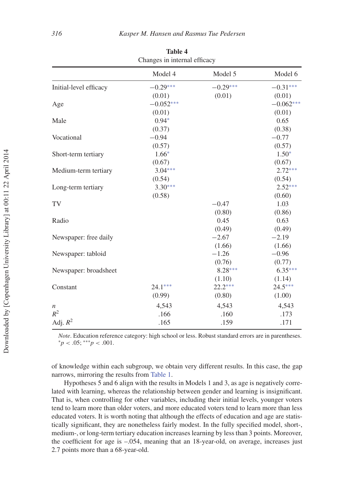| $C_{\text{Hull}}$ $C_{\text{O}}$ in internal efficies |             |            |             |  |
|-------------------------------------------------------|-------------|------------|-------------|--|
|                                                       | Model 4     | Model 5    | Model 6     |  |
| Initial-level efficacy                                | $-0.29***$  | $-0.29***$ | $-0.31***$  |  |
|                                                       | (0.01)      | (0.01)     | (0.01)      |  |
| Age                                                   | $-0.052***$ |            | $-0.062***$ |  |
|                                                       | (0.01)      |            | (0.01)      |  |
| Male                                                  | $0.94*$     |            | 0.65        |  |
|                                                       | (0.37)      |            | (0.38)      |  |
| Vocational                                            | $-0.94$     |            | $-0.77$     |  |
|                                                       | (0.57)      |            | (0.57)      |  |
| Short-term tertiary                                   | $1.66*$     |            | $1.50*$     |  |
|                                                       | (0.67)      |            | (0.67)      |  |
| Medium-term tertiary                                  | $3.04***$   |            | $2.72***$   |  |
|                                                       | (0.54)      |            | (0.54)      |  |
| Long-term tertiary                                    | $3.30***$   |            | $2.52***$   |  |
|                                                       | (0.58)      |            | (0.60)      |  |
| TV                                                    |             | $-0.47$    | 1.03        |  |
|                                                       |             | (0.80)     | (0.86)      |  |
| Radio                                                 |             | 0.45       | 0.63        |  |
|                                                       |             | (0.49)     | (0.49)      |  |
| Newspaper: free daily                                 |             | $-2.67$    | $-2.19$     |  |
|                                                       |             | (1.66)     | (1.66)      |  |
| Newspaper: tabloid                                    |             | $-1.26$    | $-0.96$     |  |
|                                                       |             | (0.76)     | (0.77)      |  |
| Newspaper: broadsheet                                 |             | $8.28***$  | $6.35***$   |  |
|                                                       |             | (1.10)     | (1.14)      |  |
| Constant                                              | $24.1***$   | $22.2***$  | $24.5***$   |  |
|                                                       | (0.99)      | (0.80)     | (1.00)      |  |
| $\boldsymbol{n}$                                      | 4,543       | 4,543      | 4,543       |  |
| $R^2$                                                 | .166        | .160       | .173        |  |
| Adj. $R^2$                                            | .165        | .159       | .171        |  |

| <b>Table 4</b>               |  |  |  |  |
|------------------------------|--|--|--|--|
| Changes in internal efficacy |  |  |  |  |

*Note*. Education reference category: high school or less. Robust standard errors are in parentheses. <sup>∗</sup>*p* < .05; ∗∗∗*p* < .001.

of knowledge within each subgroup, we obtain very different results. In this case, the gap narrows, mirroring the results from Table 1.

Hypotheses 5 and 6 align with the results in Models 1 and 3, as age is negatively correlated with learning, whereas the relationship between gender and learning is insignificant. That is, when controlling for other variables, including their initial levels, younger voters tend to learn more than older voters, and more educated voters tend to learn more than less educated voters. It is worth noting that although the effects of education and age are statistically significant, they are nonetheless fairly modest. In the fully specified model, short-, medium-, or long-term tertiary education increases learning by less than 3 points. Moreover, the coefficient for age is –.054, meaning that an 18-year-old, on average, increases just 2.7 points more than a 68-year-old.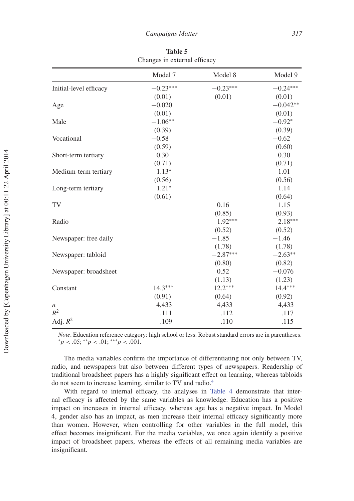|                        | Model 7    | Model 8    | Model 9    |
|------------------------|------------|------------|------------|
| Initial-level efficacy | $-0.23***$ | $-0.23***$ | $-0.24***$ |
|                        | (0.01)     | (0.01)     | (0.01)     |
| Age                    | $-0.020$   |            | $-0.042**$ |
|                        | (0.01)     |            | (0.01)     |
| Male                   | $-1.06**$  |            | $-0.92*$   |
|                        | (0.39)     |            | (0.39)     |
| Vocational             | $-0.58$    |            | $-0.62$    |
|                        | (0.59)     |            | (0.60)     |
| Short-term tertiary    | 0.30       |            | 0.30       |
|                        | (0.71)     |            | (0.71)     |
| Medium-term tertiary   | $1.13*$    |            | 1.01       |
|                        | (0.56)     |            | (0.56)     |
| Long-term tertiary     | $1.21*$    |            | 1.14       |
|                        | (0.61)     |            | (0.64)     |
| TV                     |            | 0.16       | 1.15       |
|                        |            | (0.85)     | (0.93)     |
| Radio                  |            | $1.92***$  | $2.18***$  |
|                        |            | (0.52)     | (0.52)     |
| Newspaper: free daily  |            | $-1.85$    | $-1.46$    |
|                        |            | (1.78)     | (1.78)     |
| Newspaper: tabloid     |            | $-2.87***$ | $-2.63**$  |
|                        |            | (0.80)     | (0.82)     |
| Newspaper: broadsheet  |            | 0.52       | $-0.076$   |
|                        |            | (1.13)     | (1.23)     |
| Constant               | $14.3***$  | $12.2***$  | $14.4***$  |
|                        | (0.91)     | (0.64)     | (0.92)     |
| $\boldsymbol{n}$       | 4,433      | 4,433      | 4,433      |
| $R^2$                  | .111       | .112       | .117       |
| Adj. $R^2$             | .109       | .110       | .115       |

**Table 5** Changes in external efficacy

*Note*. Education reference category: high school or less. Robust standard errors are in parentheses. <sup>∗</sup>*p* < .05; ∗∗*p* < .01; ∗∗∗*p* < .001.

The media variables confirm the importance of differentiating not only between TV, radio, and newspapers but also between different types of newspapers. Readership of traditional broadsheet papers has a highly significant effect on learning, whereas tabloids do not seem to increase learning, similar to TV and radio.<sup>4</sup>

With regard to internal efficacy, the analyses in Table 4 demonstrate that internal efficacy is affected by the same variables as knowledge. Education has a positive impact on increases in internal efficacy, whereas age has a negative impact. In Model 4, gender also has an impact, as men increase their internal efficacy significantly more than women. However, when controlling for other variables in the full model, this effect becomes insignificant. For the media variables, we once again identify a positive impact of broadsheet papers, whereas the effects of all remaining media variables are insignificant.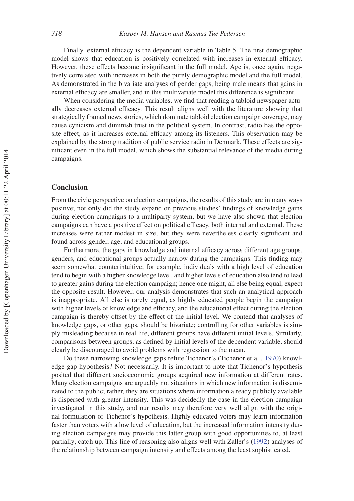Finally, external efficacy is the dependent variable in Table 5. The first demographic model shows that education is positively correlated with increases in external efficacy. However, these effects become insignificant in the full model. Age is, once again, negatively correlated with increases in both the purely demographic model and the full model. As demonstrated in the bivariate analyses of gender gaps, being male means that gains in external efficacy are smaller, and in this multivariate model this difference is significant.

When considering the media variables, we find that reading a tabloid newspaper actually decreases external efficacy. This result aligns well with the literature showing that strategically framed news stories, which dominate tabloid election campaign coverage, may cause cynicism and diminish trust in the political system. In contrast, radio has the opposite effect, as it increases external efficacy among its listeners. This observation may be explained by the strong tradition of public service radio in Denmark. These effects are significant even in the full model, which shows the substantial relevance of the media during campaigns.

# **Conclusion**

From the civic perspective on election campaigns, the results of this study are in many ways positive; not only did the study expand on previous studies' findings of knowledge gains during election campaigns to a multiparty system, but we have also shown that election campaigns can have a positive effect on political efficacy, both internal and external. These increases were rather modest in size, but they were nevertheless clearly significant and found across gender, age, and educational groups.

Furthermore, the gaps in knowledge and internal efficacy across different age groups, genders, and educational groups actually narrow during the campaigns. This finding may seem somewhat counterintuitive; for example, individuals with a high level of education tend to begin with a higher knowledge level, and higher levels of education also tend to lead to greater gains during the election campaign; hence one might, all else being equal, expect the opposite result. However, our analysis demonstrates that such an analytical approach is inappropriate. All else is rarely equal, as highly educated people begin the campaign with higher levels of knowledge and efficacy, and the educational effect during the election campaign is thereby offset by the effect of the initial level. We contend that analyses of knowledge gaps, or other gaps, should be bivariate; controlling for other variables is simply misleading because in real life, different groups have different initial levels. Similarly, comparisons between groups, as defined by initial levels of the dependent variable, should clearly be discouraged to avoid problems with regression to the mean.

Do these narrowing knowledge gaps refute Tichenor's (Tichenor et al., 1970) knowledge gap hypothesis? Not necessarily. It is important to note that Tichenor's hypothesis posited that different socioeconomic groups acquired new information at different rates. Many election campaigns are arguably not situations in which new information is disseminated to the public; rather, they are situations where information already publicly available is dispersed with greater intensity. This was decidedly the case in the election campaign investigated in this study, and our results may therefore very well align with the original formulation of Tichenor's hypothesis. Highly educated voters may learn information faster than voters with a low level of education, but the increased information intensity during election campaigns may provide this latter group with good opportunities to, at least partially, catch up. This line of reasoning also aligns well with Zaller's (1992) analyses of the relationship between campaign intensity and effects among the least sophisticated.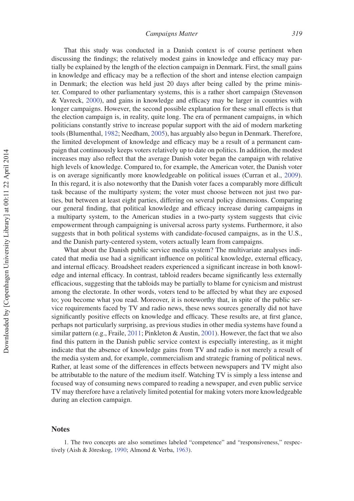*Campaigns Matter 319*

That this study was conducted in a Danish context is of course pertinent when discussing the findings; the relatively modest gains in knowledge and efficacy may partially be explained by the length of the election campaign in Denmark. First, the small gains in knowledge and efficacy may be a reflection of the short and intense election campaign in Denmark; the election was held just 20 days after being called by the prime minister. Compared to other parliamentary systems, this is a rather short campaign (Stevenson & Vavreck, 2000), and gains in knowledge and efficacy may be larger in countries with longer campaigns. However, the second possible explanation for these small effects is that the election campaign is, in reality, quite long. The era of permanent campaigns, in which politicians constantly strive to increase popular support with the aid of modern marketing tools (Blumenthal, 1982; Needham, 2005), has arguably also begun in Denmark. Therefore, the limited development of knowledge and efficacy may be a result of a permanent campaign that continuously keeps voters relatively up to date on politics. In addition, the modest increases may also reflect that the average Danish voter began the campaign with relative high levels of knowledge. Compared to, for example, the American voter, the Danish voter is on average significantly more knowledgeable on political issues (Curran et al., 2009). In this regard, it is also noteworthy that the Danish voter faces a comparably more difficult task because of the multiparty system; the voter must choose between not just two parties, but between at least eight parties, differing on several policy dimensions. Comparing our general finding, that political knowledge and efficacy increase during campaigns in a multiparty system, to the American studies in a two-party system suggests that civic empowerment through campaigning is universal across party systems. Furthermore, it also suggests that in both political systems with candidate-focused campaigns, as in the U.S., and the Danish party-centered system, voters actually learn from campaigns.

What about the Danish public service media system? The multivariate analyses indicated that media use had a significant influence on political knowledge, external efficacy, and internal efficacy. Broadsheet readers experienced a significant increase in both knowledge and internal efficacy. In contrast, tabloid readers became significantly less externally efficacious, suggesting that the tabloids may be partially to blame for cynicism and mistrust among the electorate. In other words, voters tend to be affected by what they are exposed to; you become what you read. Moreover, it is noteworthy that, in spite of the public service requirements faced by TV and radio news, these news sources generally did not have significantly positive effects on knowledge and efficacy. These results are, at first glance, perhaps not particularly surprising, as previous studies in other media systems have found a similar pattern (e.g., Fraile, 2011; Pinkleton & Austin, 2001). However, the fact that we also find this pattern in the Danish public service context is especially interesting, as it might indicate that the absence of knowledge gains from TV and radio is not merely a result of the media system and, for example, commercialism and strategic framing of political news. Rather, at least some of the differences in effects between newspapers and TV might also be attributable to the nature of the medium itself. Watching TV is simply a less intense and focused way of consuming news compared to reading a newspaper, and even public service TV may therefore have a relatively limited potential for making voters more knowledgeable during an election campaign.

#### **Notes**

1. The two concepts are also sometimes labeled "competence" and "responsiveness," respectively (Aish & Jöreskog, 1990; Almond & Verba, 1963).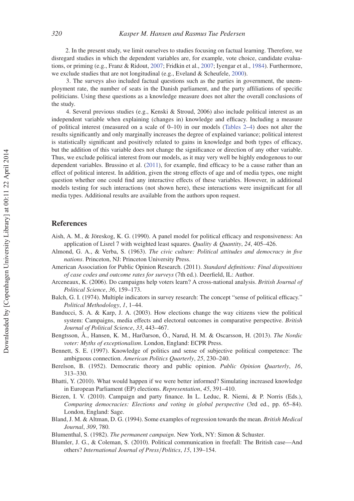2. In the present study, we limit ourselves to studies focusing on factual learning. Therefore, we disregard studies in which the dependent variables are, for example, vote choice, candidate evaluations, or priming (e.g., Franz & Ridout, 2007; Fridkin et al., 2007; Iyengar et al., 1984). Furthermore, we exclude studies that are not longitudinal (e.g., Eveland & Scheufele, 2000).

3. The surveys also included factual questions such as the parties in government, the unemployment rate, the number of seats in the Danish parliament, and the party affiliations of specific politicians. Using these questions as a knowledge measure does not alter the overall conclusions of the study.

4. Several previous studies (e.g., Kenski & Stroud, 2006) also include political interest as an independent variable when explaining (changes in) knowledge and efficacy. Including a measure of political interest (measured on a scale of  $0-10$ ) in our models (Tables 2–4) does not alter the results significantly and only marginally increases the degree of explained variance; political interest is statistically significant and positively related to gains in knowledge and both types of efficacy, but the addition of this variable does not change the significance or direction of any other variable. Thus, we exclude political interest from our models, as it may very well be highly endogenous to our dependent variables. Brussino et al. (2011), for example, find efficacy to be a cause rather than an effect of political interest. In addition, given the strong effects of age and of media types, one might question whether one could find any interactive effects of these variables. However, in additional models testing for such interactions (not shown here), these interactions were insignificant for all media types. Additional results are available from the authors upon request.

#### **References**

- Aish, A. M., & Jöreskog, K. G. (1990). A panel model for political efficacy and responsiveness: An application of Lisrel 7 with weighted least squares. *Quality & Quantity*, *24*, 405–426.
- Almond, G. A., & Verba, S. (1963). *The civic culture: Political attitudes and democracy in five nations*. Princeton, NJ: Princeton University Press.
- American Association for Public Opinion Research. (2011). *Standard definitions: Final dispositions of case codes and outcome rates for surveys* (7th ed.). Deerfield, IL: Author.
- Arceneaux, K. (2006). Do campaigns help voters learn? A cross-national analysis. *British Journal of Political Science*, *36*, 159–173.
- Balch, G. I. (1974). Multiple indicators in survey research: The concept "sense of political efficacy." *Political Methodology*, *1*, 1–44.
- Banducci, S. A. & Karp, J. A. (2003). How elections change the way citizens view the political system: Campaigns, media effects and electoral outcomes in comparative perspective. *British Journal of Political Science*, *33*, 443–467.
- Bengtsson, Å., Hansen, K. M., Harðarson, Ó., Narud, H. M. & Oscarsson, H. (2013). *The Nordic voter: Myths of exceptionalism*. London, England: ECPR Press.
- Bennett, S. E. (1997). Knowledge of politics and sense of subjective political competence: The ambiguous connection. *American Politics Quarterly*, *25*, 230–240.
- Berelson, B. (1952). Democratic theory and public opinion. *Public Opinion Quarterly*, *16*, 313–330.
- Bhatti, Y. (2010). What would happen if we were better informed? Simulating increased knowledge in European Parliament (EP) elections. *Representation*, *45*, 391–410.
- Biezen, I. V. (2010). Campaign and party finance. In L. Leduc, R. Niemi, & P. Norris (Eds.), *Comparing democracies: Elections and voting in global perspective* (3rd ed., pp. 65–84). London, England: Sage.
- Bland, J. M. & Altman, D. G. (1994). Some examples of regression towards the mean. *British Medical Journal*, *309*, 780.
- Blumenthal, S. (1982). *The permanent campaign*. New York, NY: Simon & Schuster.
- Blumler, J. G., & Coleman, S. (2010). Political communication in freefall: The British case—And others? *International Journal of Press*/*Politics*, *15*, 139–154.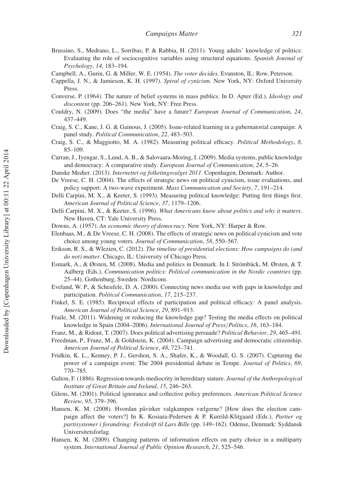- Brussino, S., Medrano, L., Sorribas, P. & Rabbia, H. (2011). Young adults' knowledge of politics: Evaluating the role of sociocognitive variables using structural equations. *Spanish Journal of Psychology*, *14*, 183–194.
- Campbell, A., Gurin, G. & Miller, W. E. (1954). *The voter decides*. Evanston, IL: Row, Peterson.
- Cappella, J. N., & Jamieson, K. H. (1997). *Spiral of cynicism*. New York, NY: Oxford University Press.
- Converse, P. (1964). The nature of belief systems in mass publics. In D. Apter (Ed.), *Ideology and discontent* (pp. 206–261). New York, NY: Free Press.
- Couldry, N. (2009). Does "the media" have a future? *European Journal of Communication*, *24*, 437–449.
- Craig, S. C., Kane, J. G. & Gainous, J. (2005). Issue-related learning in a gubernatorial campaign: A panel study. *Political Communication*, *22*, 483–503.
- Craig, S. C., & Maggiotto, M. A. (1982). Measuring political efficacy. *Political Methodology*, *8*, 85–109.
- Curran, J., Iyengar, S., Lund, A. B., & Salovaara-Moring, I. (2009). Media systems, public knowledge and democracy: A comparative study. *European Journal of Communication*, *24*, 5–26.
- Danske Medier. (2013). *Internettet og folketingsvalget 2011*. Copenhagen, Denmark: Author.
- De Vreese, C. H. (2004). The effects of strategic news on political cynicism, issue evaluations, and policy support: A two-wave experiment. *Mass Communication and Society*, *7*, 191–214.
- Delli Carpini, M. X., & Keeter, S. (1993). Measuring political knowledge: Putting first things first. *American Journal of Political Science*, *37*, 1179–1206.
- Delli Carpini, M. X., & Keeter, S. (1996). *What Americans know about politics and why it matters*. New Haven, CT: Yale University Press.
- Downs, A. (1957). *An economic theory of democracy*. New York, NY: Harper & Row.
- Elenbaas, M., & De Vreese, C. H. (2008). The effects of strategic news on political cynicism and vote choice among young voters. *Journal of Communication*, *58*, 550–567.
- Erikson, R. S., & Wlezien, C. (2012). *The timeline of presidential elections: How campaigns do (and do not) matter*. Chicago, IL: University of Chicago Press.
- Esmark, A., & Ørsten, M. (2008). Media and politics in Denmark. In J. Strömbäck, M. Ørsten, & T. Aalberg (Eds.), *Communication politics: Political communication in the Nordic countries* (pp. 25–44). Gothenburg, Sweden: Nordicom.
- Eveland, W. P., & Scheufele, D. A. (2000). Connecting news media use with gaps in knowledge and participation. *Political Communication*, *17*, 215–237.
- Finkel, S. E. (1985). Reciprocal effects of participation and political efficacy: A panel analysis. *American Journal of Political Science*, *29*, 891–913.
- Fraile, M. (2011). Widening or reducing the knowledge gap? Testing the media effects on political knowledge in Spain (2004–2006). *International Journal of Press*/*Politics*, *16*, 163–184.
- Franz, M., & Ridout, T. (2007). Does political advertising persuade? *Political Behavior*, *29*, 465–491.
- Freedman, P., Franz, M., & Goldstein, K. (2004). Campaign advertising and democratic citizenship. *American Journal of Political Science*, *48*, 723–741.
- Fridkin, K. L., Kenney, P. J., Gershon, S. A., Shafer, K., & Woodall, G. S. (2007). Capturing the power of a campaign event: The 2004 presidential debate in Tempe. *Journal of Politics*, *69*, 770–785.
- Galton, F. (1886). Regression towards mediocrity in hereditary stature. *Journal of the Anthropological Institute of Great Britain and Ireland*, *15*, 246–263.
- Gilens, M. (2001). Political ignorance and collective policy preferences. *American Political Science Review*, *95*, 379–396.
- Hansen, K. M. (2008). Hvordan påvirker valgkampen vælgerne? [How does the election campaign affect the voters?] In K. Kosiara-Pedersen & P. Kurrild-Klitgaard (Eds.), *Partier og partisystemer i forandring: Festskrift til Lars Bille* (pp. 149–162). Odense, Denmark: Syddansk Universitetsforlag.
- Hansen, K. M. (2009). Changing patterns of information effects on party choice in a multiparty system. *International Journal of Public Opinion Research*, *21*, 525–546.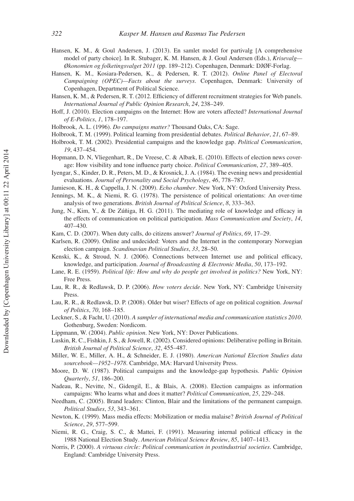- Hansen, K. M., & Goul Andersen, J. (2013). En samlet model for partivalg [A comprehensive model of party choice]. In R. Stubager, K. M. Hansen, & J. Goul Andersen (Eds.), *Krisevalg— Økonomien og folketingsvalget 2011* (pp. 189–212). Copenhagen, Denmark: DJØF-Forlag.
- Hansen, K. M., Kosiara-Pedersen, K., & Pedersen, R. T. (2012). *Online Panel of Electoral Campaigning (OPEC)—Facts about the surveys*. Copenhagen, Denmark: University of Copenhagen, Department of Political Science.
- Hansen, K. M., & Pedersen, R. T. (2012. Efficiency of different recruitment strategies for Web panels. *International Journal of Public Opinion Research*, *24*, 238–249.
- Hoff, J. (2010). Election campaigns on the Internet: How are voters affected? *International Journal of E-Politics*, *1*, 178–197.
- Holbrook, A. L. (1996). *Do campaigns matter?* Thousand Oaks, CA: Sage.
- Holbrook, T. M. (1999). Political learning from presidential debates. *Political Behavior*, *21*, 67–89.
- Holbrook, T. M. (2002). Presidential campaigns and the knowledge gap. *Political Communication*, *19*, 437–454.
- Hopmann, D. N, Vliegenhart, R., De Vreese, C. & Albæk, E. (2010). Effects of election news coverage: How visibility and tone influence party choice. *Political Communication*, *27*, 389–405.
- Iyengar, S., Kinder, D. R., Peters, M. D., & Krosnick, J. A. (1984). The evening news and presidential evaluations. *Journal of Personality and Social Psychology*, *46*, 778–787.
- Jamieson, K. H., & Cappella, J. N. (2009). *Echo chamber*. New York, NY: Oxford University Press.
- Jennings, M. K., & Niemi, R. G. (1978). The persistence of political orientations: An over-time analysis of two generations. *British Journal of Political Science*, *8*, 333–363.
- Jung, N., Kim, Y., & De Zúñiga, H. G. (2011). The mediating role of knowledge and efficacy in the effects of communication on political participation. *Mass Communication and Society*, *14*, 407–430.
- Kam, C. D. (2007). When duty calls, do citizens answer? *Journal of Politics*, *69*, 17–29.
- Karlsen, R. (2009). Online and undecided: Voters and the Internet in the contemporary Norwegian election campaign. *Scandinavian Political Studies*, *33*, 28–50.
- Kenski, K., & Stroud, N. J. (2006). Connections between Internet use and political efficacy, knowledge, and participation. *Journal of Broadcasting & Electronic Media*, *50*, 173–192.
- Lane, R. E. (1959). *Political life: How and why do people get involved in politics?* New York, NY: Free Press.
- Lau, R. R., & Redlawsk, D. P. (2006). *How voters decide*. New York, NY: Cambridge University Press.
- Lau, R. R., & Redlawsk, D. P. (2008). Older but wiser? Effects of age on political cognition. *Journal of Politics*, *70*, 168–185.
- Leckner, S., & Facht, U. (2010). *A sampler of international media and communication statistics 2010*. Gothenburg, Sweden: Nordicom.
- Lippmann, W. (2004). *Public opinion*. New York, NY: Dover Publications.
- Luskin, R. C., Fishkin, J. S., & Jowell, R. (2002). Considered opinions: Deliberative polling in Britain. *British Journal of Political Science*, *32*, 455–487.
- Miller, W. E., Miller, A. H., & Schneider, E. J. (1980). *American National Election Studies data sourcebook—1952–1978*. Cambridge, MA: Harvard University Press.
- Moore, D. W. (1987). Political campaigns and the knowledge-gap hypothesis. *Public Opinion Quarterly*, *51*, 186–200.
- Nadeau, R., Nevitte, N., Gidengil, E., & Blais, A. (2008). Election campaigns as information campaigns: Who learns what and does it matter? *Political Communication*, *25*, 229–248.
- Needham, C. (2005). Brand leaders: Clinton, Blair and the limitations of the permanent campaign. *Political Studies*, *53*, 343–361.
- Newton, K. (1999). Mass media effects: Mobilization or media malaise? *British Journal of Political Science*, *29*, 577–599.
- Niemi, R. G., Craig, S. C., & Mattei, F. (1991). Measuring internal political efficacy in the 1988 National Election Study. *American Political Science Review*, *85*, 1407–1413.
- Norris, P. (2000). *A virtuous circle: Political communication in postindustrial societies*. Cambridge, England: Cambridge University Press.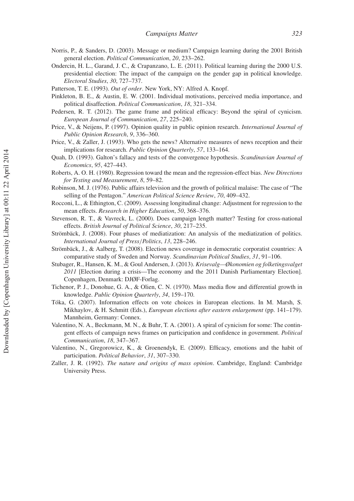- Norris, P., & Sanders, D. (2003). Message or medium? Campaign learning during the 2001 British general election. *Political Communication*, *20*, 233–262.
- Ondercin, H. L., Garand, J. C., & Crapanzano, L. E. (2011). Political learning during the 2000 U.S. presidential election: The impact of the campaign on the gender gap in political knowledge. *Electoral Studies*, *30*, 727–737.
- Patterson, T. E. (1993). *Out of order*. New York, NY: Alfred A. Knopf.
- Pinkleton, B. E., & Austin, E. W. (2001. Individual motivations, perceived media importance, and political disaffection. *Political Communication*, *18*, 321–334.
- Pedersen, R. T. (2012). The game frame and political efficacy: Beyond the spiral of cynicism. *European Journal of Communication*, *27*, 225–240.
- Price, V., & Neijens, P. (1997). Opinion quality in public opinion research. *International Journal of Public Opinion Research*, *9*, 336–360.
- Price, V., & Zaller, J. (1993). Who gets the news? Alternative measures of news reception and their implications for research. *Public Opinion Quarterly*, *57*, 133–164.
- Quah, D. (1993). Galton's fallacy and tests of the convergence hypothesis. *Scandinavian Journal of Economics*, *95*, 427–443.
- Roberts, A. O. H. (1980). Regression toward the mean and the regression-effect bias. *New Directions for Testing and Measurement*, *8*, 59–82.
- Robinson, M. J. (1976). Public affairs television and the growth of political malaise: The case of "The selling of the Pentagon." *American Political Science Review*, *70*, 409–432.
- Rocconi, L., & Ethington, C. (2009). Assessing longitudinal change: Adjustment for regression to the mean effects. *Research in Higher Education*, *50*, 368–376.
- Stevenson, R. T., & Vavreck, L. (2000). Does campaign length matter? Testing for cross-national effects. *British Journal of Political Science*, *30*, 217–235.
- Strömbäck, J. (2008). Four phases of mediatization: An analysis of the mediatization of politics. *International Journal of Press*/*Politics*, *13*, 228–246.
- Strömbäck, J., & Aalberg, T. (2008). Election news coverage in democratic corporatist countries: A comparative study of Sweden and Norway. *Scandinavian Political Studies*, *31*, 91–106.
- Stubager, R., Hansen, K. M., & Goul Andersen, J. (2013). *Krisevalg—Økonomien og folketingsvalget 2011* [Election during a crisis—The economy and the 2011 Danish Parliamentary Election]. Copenhagen, Denmark: DJØF-Forlag.
- Tichenor, P. J., Donohue, G. A., & Olien, C. N. (1970). Mass media flow and differential growth in knowledge. *Public Opinion Quarterly*, *34*, 159–170.
- Tóka, G. (2007). Information effects on vote choices in European elections. In M. Marsh, S. Mikhaylov, & H. Schmitt (Eds.), *European elections after eastern enlargement* (pp. 141–179). Mannheim, Germany: Connex.
- Valentino, N. A., Beckmann, M. N., & Buhr, T. A. (2001). A spiral of cynicism for some: The contingent effects of campaign news frames on participation and confidence in government. *Political Communication*, *18*, 347–367.
- Valentino, N., Gregorowicz, K., & Groenendyk, E. (2009). Efficacy, emotions and the habit of participation. *Political Behavior*, *31*, 307–330.
- Zaller, J. R. (1992). *The nature and origins of mass opinion*. Cambridge, England: Cambridge University Press.